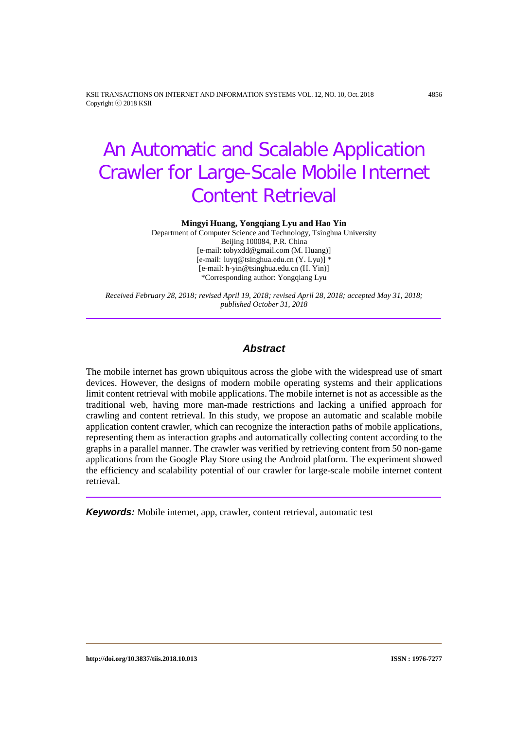KSII TRANSACTIONS ON INTERNET AND INFORMATION SYSTEMS VOL. 12, NO. 10, Oct. 2018 4856 Copyright ⓒ 2018 KSII

# An Automatic and Scalable Application Crawler for Large-Scale Mobile Internet Content Retrieval

**Mingyi Huang, Yongqiang Lyu and Hao Yin**

Department of Computer Science and Technology, Tsinghua University Beijing 100084, P.R. China [e-mail: tobyxdd@gmail.com (M. Huang)] [e-mail: luyq@tsinghua.edu.cn (Y. Lyu)] \* [e-mail: h-yin@tsinghua.edu.cn (H. Yin)] \*Corresponding author: Yongqiang Lyu

*Received February 28, 2018; revised April 19, 2018; revised April 28, 2018; accepted May 31, 2018; published October 31, 2018*

### *Abstract*

The mobile internet has grown ubiquitous across the globe with the widespread use of smart devices. However, the designs of modern mobile operating systems and their applications limit content retrieval with mobile applications. The mobile internet is not as accessible as the traditional web, having more man-made restrictions and lacking a unified approach for crawling and content retrieval. In this study, we propose an automatic and scalable mobile application content crawler, which can recognize the interaction paths of mobile applications, representing them as interaction graphs and automatically collecting content according to the graphs in a parallel manner. The crawler was verified by retrieving content from 50 non-game applications from the Google Play Store using the Android platform. The experiment showed the efficiency and scalability potential of our crawler for large-scale mobile internet content retrieval.

*Keywords:* Mobile internet, app, crawler, content retrieval, automatic test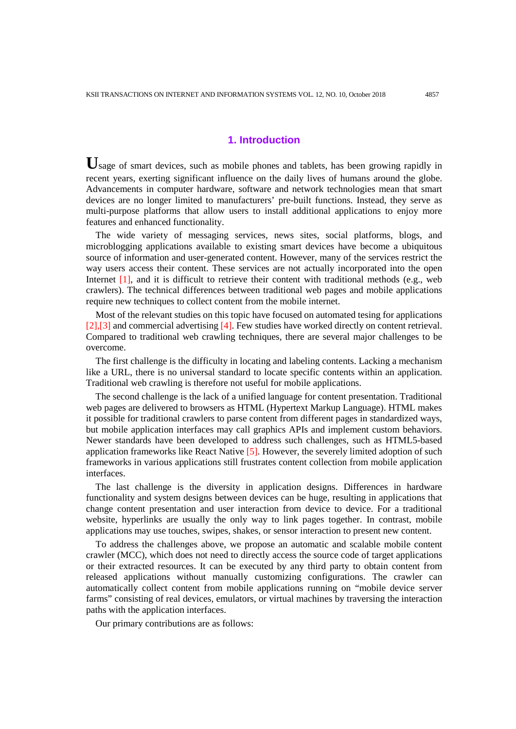## **1. Introduction**

**U**sage of smart devices, such as mobile phones and tablets, has been growing rapidly in recent years, exerting significant influence on the daily lives of humans around the globe. Advancements in computer hardware, software and network technologies mean that smart devices are no longer limited to manufacturers' pre-built functions. Instead, they serve as multi-purpose platforms that allow users to install additional applications to enjoy more features and enhanced functionality.

The wide variety of messaging services, news sites, social platforms, blogs, and microblogging applications available to existing smart devices have become a ubiquitous source of information and user-generated content. However, many of the services restrict the way users access their content. These services are not actually incorporated into the open Internet  $[1]$ , and it is difficult to retrieve their content with traditional methods (e.g., web crawlers). The technical differences between traditional web pages and mobile applications require new techniques to collect content from the mobile internet.

Most of the relevant studies on this topic have focused on automated tesing for applications [2],[3] and commercial advertising [4]. Few studies have worked directly on content retrieval. Compared to traditional web crawling techniques, there are several major challenges to be overcome.

The first challenge is the difficulty in locating and labeling contents. Lacking a mechanism like a URL, there is no universal standard to locate specific contents within an application. Traditional web crawling is therefore not useful for mobile applications.

The second challenge is the lack of a unified language for content presentation. Traditional web pages are delivered to browsers as HTML (Hypertext Markup Language). HTML makes it possible for traditional crawlers to parse content from different pages in standardized ways, but mobile application interfaces may call graphics APIs and implement custom behaviors. Newer standards have been developed to address such challenges, such as HTML5-based application frameworks like React Native [5]. However, the severely limited adoption of such frameworks in various applications still frustrates content collection from mobile application interfaces.

The last challenge is the diversity in application designs. Differences in hardware functionality and system designs between devices can be huge, resulting in applications that change content presentation and user interaction from device to device. For a traditional website, hyperlinks are usually the only way to link pages together. In contrast, mobile applications may use touches, swipes, shakes, or sensor interaction to present new content.

To address the challenges above, we propose an automatic and scalable mobile content crawler (MCC), which does not need to directly access the source code of target applications or their extracted resources. It can be executed by any third party to obtain content from released applications without manually customizing configurations. The crawler can automatically collect content from mobile applications running on "mobile device server farms" consisting of real devices, emulators, or virtual machines by traversing the interaction paths with the application interfaces.

Our primary contributions are as follows: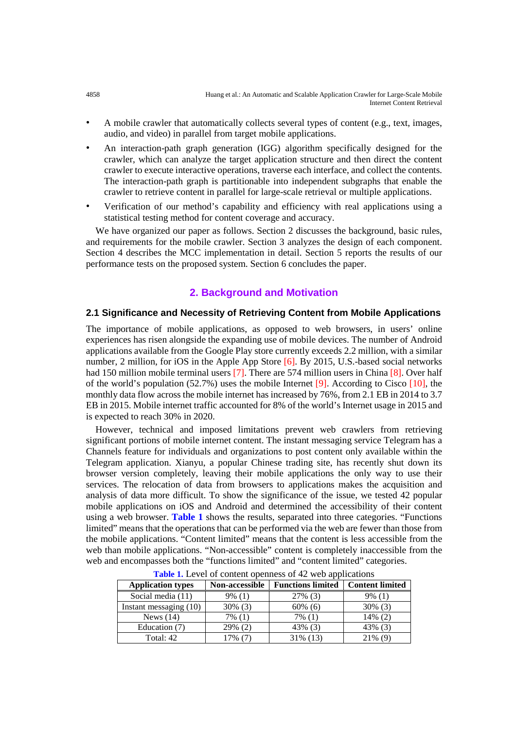- ∙ A mobile crawler that automatically collects several types of content (e.g., text, images, audio, and video) in parallel from target mobile applications.
- ∙ An interaction-path graph generation (IGG) algorithm specifically designed for the crawler, which can analyze the target application structure and then direct the content crawler to execute interactive operations, traverse each interface, and collect the contents. The interaction-path graph is partitionable into independent subgraphs that enable the crawler to retrieve content in parallel for large-scale retrieval or multiple applications.
- ∙ Verification of our method's capability and efficiency with real applications using a statistical testing method for content coverage and accuracy.

We have organized our paper as follows. Section 2 discusses the background, basic rules, and requirements for the mobile crawler. Section 3 analyzes the design of each component. Section 4 describes the MCC implementation in detail. Section 5 reports the results of our performance tests on the proposed system. Section 6 concludes the paper.

# **2. Background and Motivation**

#### **2.1 Significance and Necessity of Retrieving Content from Mobile Applications**

The importance of mobile applications, as opposed to web browsers, in users' online experiences has risen alongside the expanding use of mobile devices. The number of Android applications available from the Google Play store currently exceeds 2.2 million, with a similar number, 2 million, for iOS in the Apple App Store [6]. By 2015, U.S.-based social networks had 150 million mobile terminal users [7]. There are 574 million users in China [8]. Over half of the world's population  $(52.7%)$  uses the mobile Internet [9]. According to Cisco [10], the monthly data flow across the mobile internet has increased by 76%, from 2.1 EB in 2014 to 3.7 EB in 2015. Mobile internet traffic accounted for 8% of the world's Internet usage in 2015 and is expected to reach 30% in 2020.

However, technical and imposed limitations prevent web crawlers from retrieving significant portions of mobile internet content. The instant messaging service Telegram has a Channels feature for individuals and organizations to post content only available within the Telegram application. Xianyu, a popular Chinese trading site, has recently shut down its browser version completely, leaving their mobile applications the only way to use their services. The relocation of data from browsers to applications makes the acquisition and analysis of data more difficult. To show the significance of the issue, we tested 42 popular mobile applications on iOS and Android and determined the accessibility of their content using a web browser. **Table 1** shows the results, separated into three categories. "Functions limited" means that the operations that can be performed via the web are fewer than those from the mobile applications. "Content limited" means that the content is less accessible from the web than mobile applications. "Non-accessible" content is completely inaccessible from the web and encompasses both the "functions limited" and "content limited" categories.

| <b>Application types</b> | <b>Non-accessible</b> | <b>Content limited</b><br><b>Functions limited</b> |            |
|--------------------------|-----------------------|----------------------------------------------------|------------|
| Social media (11)        | $9\%$ (1)             | $27\%$ (3)                                         | $9\%$ (1)  |
| Instant messaging $(10)$ | $30\%$ (3)            | $60\%$ (6)                                         | $30\%$ (3) |
| News $(14)$              | $7\%$ (1)             | 7% (1)                                             | $14\%$ (2) |
| Education (7)            | $29\%$ (2)            | 43% (3)                                            | 43\% (3)   |
| Total: 42                | .7% (7                | 31\% (13)                                          | $21\%$ (9) |

**Table 1.** Level of content openness of 42 web applications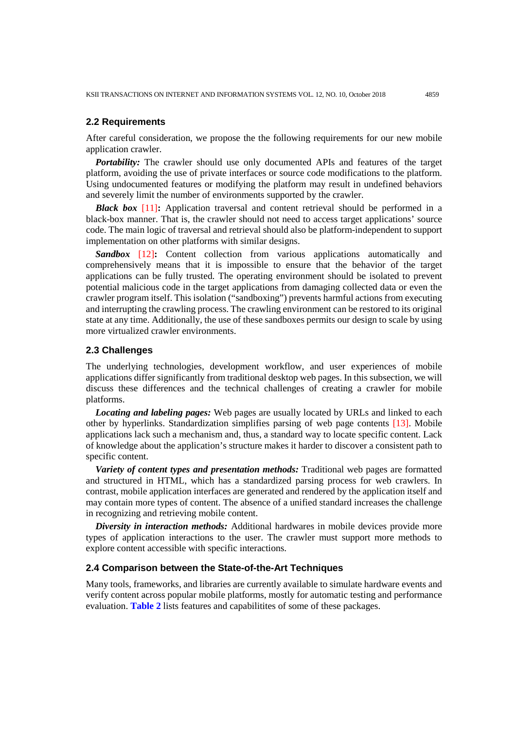#### **2.2 Requirements**

After careful consideration, we propose the the following requirements for our new mobile application crawler.

*Portability:* The crawler should use only documented APIs and features of the target platform, avoiding the use of private interfaces or source code modifications to the platform. Using undocumented features or modifying the platform may result in undefined behaviors and severely limit the number of environments supported by the crawler.

*Black box* [11]**:** Application traversal and content retrieval should be performed in a black-box manner. That is, the crawler should not need to access target applications' source code. The main logic of traversal and retrieval should also be platform-independent to support implementation on other platforms with similar designs.

**Sandbox** [12]: Content collection from various applications automatically and comprehensively means that it is impossible to ensure that the behavior of the target applications can be fully trusted. The operating environment should be isolated to prevent potential malicious code in the target applications from damaging collected data or even the crawler program itself. This isolation ("sandboxing") prevents harmful actions from executing and interrupting the crawling process. The crawling environment can be restored to its original state at any time. Additionally, the use of these sandboxes permits our design to scale by using more virtualized crawler environments.

#### **2.3 Challenges**

The underlying technologies, development workflow, and user experiences of mobile applications differ significantly from traditional desktop web pages. In this subsection, we will discuss these differences and the technical challenges of creating a crawler for mobile platforms.

*Locating and labeling pages:* Web pages are usually located by URLs and linked to each other by hyperlinks. Standardization simplifies parsing of web page contents [13]. Mobile applications lack such a mechanism and, thus, a standard way to locate specific content. Lack of knowledge about the application's structure makes it harder to discover a consistent path to specific content.

*Variety of content types and presentation methods:* Traditional web pages are formatted and structured in HTML, which has a standardized parsing process for web crawlers. In contrast, mobile application interfaces are generated and rendered by the application itself and may contain more types of content. The absence of a unified standard increases the challenge in recognizing and retrieving mobile content.

*Diversity in interaction methods:* Additional hardwares in mobile devices provide more types of application interactions to the user. The crawler must support more methods to explore content accessible with specific interactions.

#### **2.4 Comparison between the State-of-the-Art Techniques**

Many tools, frameworks, and libraries are currently available to simulate hardware events and verify content across popular mobile platforms, mostly for automatic testing and performance evaluation. **Table 2** lists features and capabilitites of some of these packages.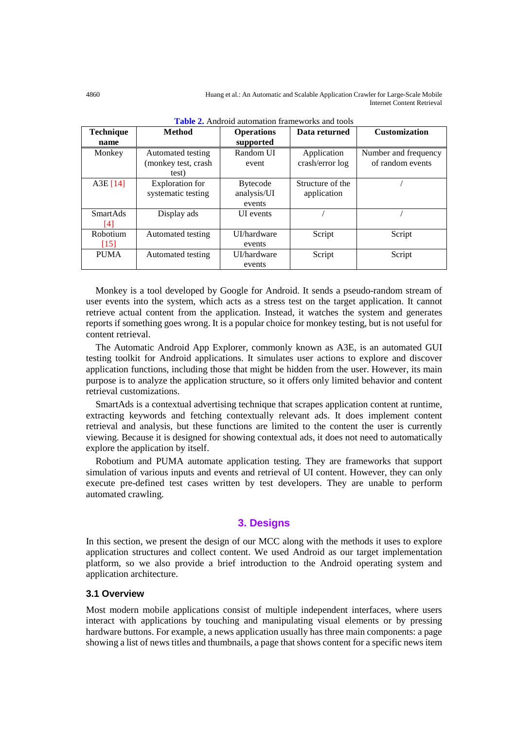4860 Huang et al.: An Automatic and Scalable Application Crawler for Large-Scale Mobile Internet Content Retrieval

| Technique<br><b>Method</b> |                        | <b>Operations</b> | Data returned    | <b>Customization</b> |
|----------------------------|------------------------|-------------------|------------------|----------------------|
| name                       |                        | supported         |                  |                      |
| Monkey                     | Automated testing      | Random UI         | Application      | Number and frequency |
|                            | (monkey test, crash    | event             | crash/error log  | of random events     |
|                            | test)                  |                   |                  |                      |
| A3E[14]                    | <b>Exploration</b> for | <b>Bytecode</b>   | Structure of the |                      |
|                            | systematic testing     | analysis/UI       | application      |                      |
|                            |                        | events            |                  |                      |
| <b>SmartAds</b>            | Display ads            | <b>UI</b> events  |                  |                      |
| [4]                        |                        |                   |                  |                      |
| Robotium                   | Automated testing      | UI/hardware       | Script           | Script               |
| $[15]$                     |                        | events            |                  |                      |
| <b>PUMA</b>                | Automated testing      | UI/hardware       | Script           | Script               |
|                            |                        | events            |                  |                      |

**Table 2.** Android automation frameworks and tools

Monkey is a tool developed by Google for Android. It sends a pseudo-random stream of user events into the system, which acts as a stress test on the target application. It cannot retrieve actual content from the application. Instead, it watches the system and generates reports if something goes wrong. It is a popular choice for monkey testing, but is not useful for content retrieval.

The Automatic Android App Explorer, commonly known as A3E, is an automated GUI testing toolkit for Android applications. It simulates user actions to explore and discover application functions, including those that might be hidden from the user. However, its main purpose is to analyze the application structure, so it offers only limited behavior and content retrieval customizations.

SmartAds is a contextual advertising technique that scrapes application content at runtime, extracting keywords and fetching contextually relevant ads. It does implement content retrieval and analysis, but these functions are limited to the content the user is currently viewing. Because it is designed for showing contextual ads, it does not need to automatically explore the application by itself.

Robotium and PUMA automate application testing. They are frameworks that support simulation of various inputs and events and retrieval of UI content. However, they can only execute pre-defined test cases written by test developers. They are unable to perform automated crawling.

## **3. Designs**

In this section, we present the design of our MCC along with the methods it uses to explore application structures and collect content. We used Android as our target implementation platform, so we also provide a brief introduction to the Android operating system and application architecture.

## **3.1 Overview**

Most modern mobile applications consist of multiple independent interfaces, where users interact with applications by touching and manipulating visual elements or by pressing hardware buttons. For example, a news application usually has three main components: a page showing a list of news titles and thumbnails, a page that shows content for a specific news item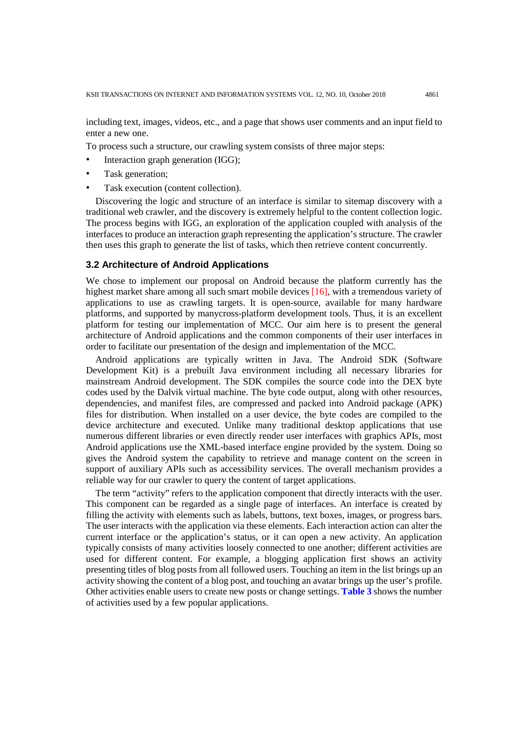including text, images, videos, etc., and a page that shows user comments and an input field to enter a new one.

To process such a structure, our crawling system consists of three major steps:

- ∙ Interaction graph generation (IGG);
- Task generation;
- ∙ Task execution (content collection).

Discovering the logic and structure of an interface is similar to sitemap discovery with a traditional web crawler, and the discovery is extremely helpful to the content collection logic. The process begins with IGG, an exploration of the application coupled with analysis of the interfaces to produce an interaction graph representing the application's structure. The crawler then uses this graph to generate the list of tasks, which then retrieve content concurrently.

## **3.2 Architecture of Android Applications**

We chose to implement our proposal on Android because the platform currently has the highest market share among all such smart mobile devices [16], with a tremendous variety of applications to use as crawling targets. It is open-source, available for many hardware platforms, and supported by manycross-platform development tools. Thus, it is an excellent platform for testing our implementation of MCC. Our aim here is to present the general architecture of Android applications and the common components of their user interfaces in order to facilitate our presentation of the design and implementation of the MCC.

Android applications are typically written in Java. The Android SDK (Software Development Kit) is a prebuilt Java environment including all necessary libraries for mainstream Android development. The SDK compiles the source code into the DEX byte codes used by the Dalvik virtual machine. The byte code output, along with other resources, dependencies, and manifest files, are compressed and packed into Android package (APK) files for distribution. When installed on a user device, the byte codes are compiled to the device architecture and executed. Unlike many traditional desktop applications that use numerous different libraries or even directly render user interfaces with graphics APIs, most Android applications use the XML-based interface engine provided by the system. Doing so gives the Android system the capability to retrieve and manage content on the screen in support of auxiliary APIs such as accessibility services. The overall mechanism provides a reliable way for our crawler to query the content of target applications.

The term "activity" refers to the application component that directly interacts with the user. This component can be regarded as a single page of interfaces. An interface is created by filling the activity with elements such as labels, buttons, text boxes, images, or progress bars. The user interacts with the application via these elements. Each interaction action can alter the current interface or the application's status, or it can open a new activity. An application typically consists of many activities loosely connected to one another; different activities are used for different content. For example, a blogging application first shows an activity presenting titles of blog posts from all followed users. Touching an item in the list brings up an activity showing the content of a blog post, and touching an avatar brings up the user's profile. Other activities enable users to create new posts or change settings. **Table 3** shows the number of activities used by a few popular applications.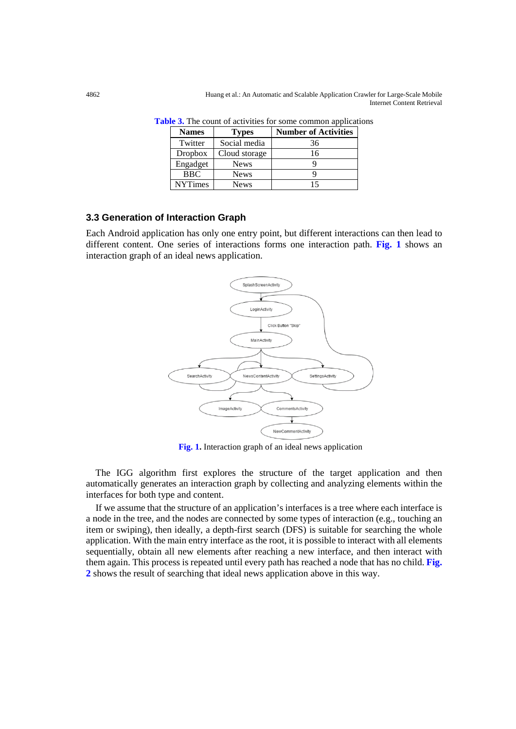| <b>Names</b><br><b>Types</b> |             | <b>Number of Activities</b> |  |
|------------------------------|-------------|-----------------------------|--|
| Twitter<br>Social media      |             | 36                          |  |
| Dropbox<br>Cloud storage     |             | 16                          |  |
| Engadget<br>News             |             |                             |  |
| <b>BBC</b>                   | <b>News</b> |                             |  |
| <b>NYTimes</b>               | <b>News</b> | 15                          |  |

**Table 3.** The count of activities for some common applications

## **3.3 Generation of Interaction Graph**

Each Android application has only one entry point, but different interactions can then lead to different content. One series of interactions forms one interaction path. **Fig. 1** shows an interaction graph of an ideal news application.



**Fig. 1.** Interaction graph of an ideal news application

The IGG algorithm first explores the structure of the target application and then automatically generates an interaction graph by collecting and analyzing elements within the interfaces for both type and content.

If we assume that the structure of an application's interfaces is a tree where each interface is a node in the tree, and the nodes are connected by some types of interaction (e.g., touching an item or swiping), then ideally, a depth-first search (DFS) is suitable for searching the whole application. With the main entry interface as the root, it is possible to interact with all elements sequentially, obtain all new elements after reaching a new interface, and then interact with them again. This process is repeated until every path has reached a node that has no child. **Fig. 2** shows the result of searching that ideal news application above in this way.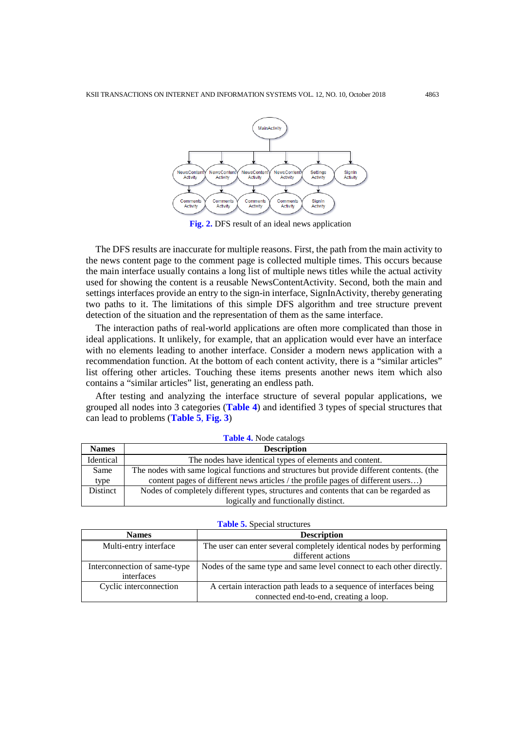

**Fig. 2.** DFS result of an ideal news application

The DFS results are inaccurate for multiple reasons. First, the path from the main activity to the news content page to the comment page is collected multiple times. This occurs because the main interface usually contains a long list of multiple news titles while the actual activity used for showing the content is a reusable NewsContentActivity. Second, both the main and settings interfaces provide an entry to the sign-in interface, SignInActivity, thereby generating two paths to it. The limitations of this simple DFS algorithm and tree structure prevent detection of the situation and the representation of them as the same interface.

The interaction paths of real-world applications are often more complicated than those in ideal applications. It unlikely, for example, that an application would ever have an interface with no elements leading to another interface. Consider a modern news application with a recommendation function. At the bottom of each content activity, there is a "similar articles" list offering other articles. Touching these items presents another news item which also contains a "similar articles" list, generating an endless path.

After testing and analyzing the interface structure of several popular applications, we grouped all nodes into 3 categories (**Table 4**) and identified 3 types of special structures that can lead to problems (**Table 5**, **Fig. 3**)

| <b>Table 4.</b> Node catalogs |                                                                                           |  |  |
|-------------------------------|-------------------------------------------------------------------------------------------|--|--|
| <b>Names</b>                  | <b>Description</b>                                                                        |  |  |
| Identical                     | The nodes have identical types of elements and content.                                   |  |  |
| Same                          | The nodes with same logical functions and structures but provide different contents. (the |  |  |
| type                          | content pages of different news articles / the profile pages of different users)          |  |  |
| Distinct                      | Nodes of completely different types, structures and contents that can be regarded as      |  |  |
|                               | logically and functionally distinct.                                                      |  |  |

| <b>Table 5.</b> Special structures |  |  |
|------------------------------------|--|--|
|------------------------------------|--|--|

| <b>Names</b>                 | <b>Description</b>                                                    |  |  |
|------------------------------|-----------------------------------------------------------------------|--|--|
| Multi-entry interface        | The user can enter several completely identical nodes by performing   |  |  |
|                              | different actions                                                     |  |  |
| Interconnection of same-type | Nodes of the same type and same level connect to each other directly. |  |  |
| interfaces                   |                                                                       |  |  |
| Cyclic interconnection       | A certain interaction path leads to a sequence of interfaces being    |  |  |
|                              | connected end-to-end, creating a loop.                                |  |  |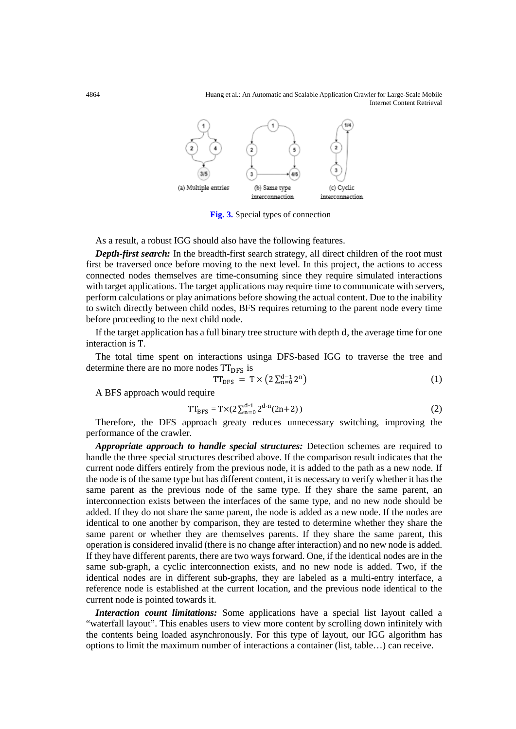4864 Huang et al.: An Automatic and Scalable Application Crawler for Large-Scale Mobile Internet Content Retrieval



**Fig. 3.** Special types of connection

As a result, a robust IGG should also have the following features.

*Depth-first search:* In the breadth-first search strategy, all direct children of the root must first be traversed once before moving to the next level. In this project, the actions to access connected nodes themselves are time-consuming since they require simulated interactions with target applications. The target applications may require time to communicate with servers, perform calculations or play animations before showing the actual content. Due to the inability to switch directly between child nodes, BFS requires returning to the parent node every time before proceeding to the next child node.

If the target application has a full binary tree structure with depth d, the average time for one interaction is T.

The total time spent on interactions usinga DFS-based IGG to traverse the tree and determine there are no more nodes  $TT_{DFS}$  is

$$
TT_{DFS} = T \times \left(2 \sum_{n=0}^{d-1} 2^n\right) \tag{1}
$$

A BFS approach would require

$$
TT_{BFS} = T \times (2 \sum_{n=0}^{d-1} 2^{d-n} (2n+2))
$$
 (2)

Therefore, the DFS approach greaty reduces unnecessary switching, improving the performance of the crawler.

*Appropriate approach to handle special structures:* Detection schemes are required to handle the three special structures described above. If the comparison result indicates that the current node differs entirely from the previous node, it is added to the path as a new node. If the node is of the same type but has different content, it is necessary to verify whether it has the same parent as the previous node of the same type. If they share the same parent, an interconnection exists between the interfaces of the same type, and no new node should be added. If they do not share the same parent, the node is added as a new node. If the nodes are identical to one another by comparison, they are tested to determine whether they share the same parent or whether they are themselves parents. If they share the same parent, this operation is considered invalid (there is no change after interaction) and no new node is added. If they have different parents, there are two ways forward. One, if the identical nodes are in the same sub-graph, a cyclic interconnection exists, and no new node is added. Two, if the identical nodes are in different sub-graphs, they are labeled as a multi-entry interface, a reference node is established at the current location, and the previous node identical to the current node is pointed towards it.

*Interaction count limitations:* Some applications have a special list layout called a "waterfall layout". This enables users to view more content by scrolling down infinitely with the contents being loaded asynchronously. For this type of layout, our IGG algorithm has options to limit the maximum number of interactions a container (list, table…) can receive.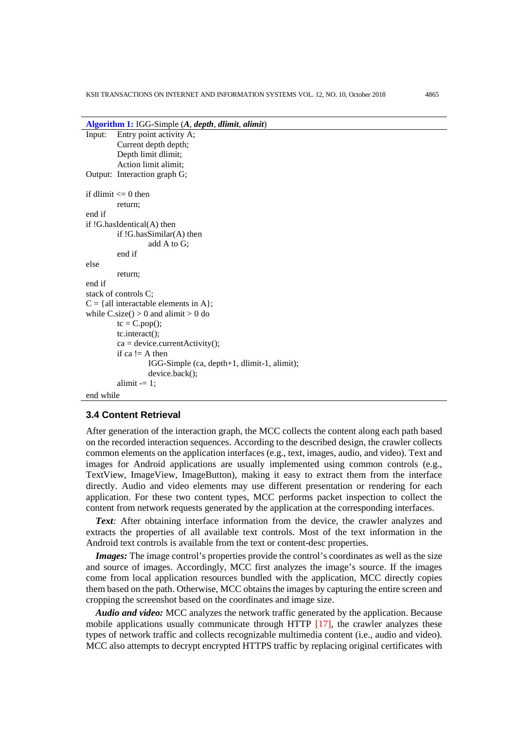**Algorithm 1:** IGG-Simple (*A*, *depth*, *dlimit*, *alimit*)

```
Input: Entry point activity A;
         Current depth depth;
         Depth limit dlimit;
         Action limit alimit;
Output: Interaction graph G;
if dlimit \leq 0 then
         return;
end if
if !G.hasIdentical(A) then
         if !G.hasSimilar(A) then
                  add A to G;
         end if
else
         return;
end if
stack of controls C;
C = \{all \text{ interactable elements in } A\}.while C.size() > 0 and alimit > 0 do
         tc = C.pop();tc.interact();
         ca = device.currentActivity();if ca != A then
                  IGG-Simple (ca, depth+1, dlimit-1, alimit);
                  device.back();
         alimit = 1;
```
end while

### **3.4 Content Retrieval**

After generation of the interaction graph, the MCC collects the content along each path based on the recorded interaction sequences. According to the described design, the crawler collects common elements on the application interfaces (e.g., text, images, audio, and video). Text and images for Android applications are usually implemented using common controls (e.g., TextView, ImageView, ImageButton), making it easy to extract them from the interface directly. Audio and video elements may use different presentation or rendering for each application. For these two content types, MCC performs packet inspection to collect the content from network requests generated by the application at the corresponding interfaces.

**Text**: After obtaining interface information from the device, the crawler analyzes and extracts the properties of all available text controls. Most of the text information in the Android text controls is available from the text or content-desc properties.

*Images:* The image control's properties provide the control's coordinates as well as the size and source of images. Accordingly, MCC first analyzes the image's source. If the images come from local application resources bundled with the application, MCC directly copies them based on the path. Otherwise, MCC obtains the images by capturing the entire screen and cropping the screenshot based on the coordinates and image size.

*Audio and video:* MCC analyzes the network traffic generated by the application. Because mobile applications usually communicate through HTTP  $[17]$ , the crawler analyzes these types of network traffic and collects recognizable multimedia content (i.e., audio and video). MCC also attempts to decrypt encrypted HTTPS traffic by replacing original certificates with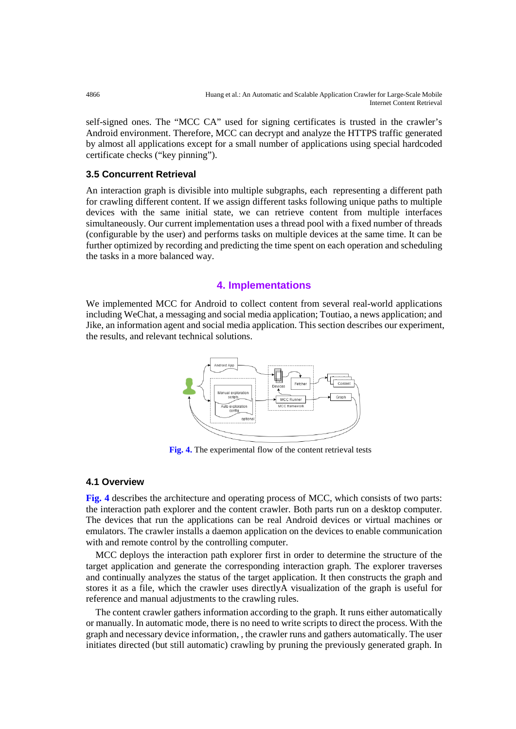self-signed ones. The "MCC CA" used for signing certificates is trusted in the crawler's Android environment. Therefore, MCC can decrypt and analyze the HTTPS traffic generated by almost all applications except for a small number of applications using special hardcoded certificate checks ("key pinning").

## **3.5 Concurrent Retrieval**

An interaction graph is divisible into multiple subgraphs, each representing a different path for crawling different content. If we assign different tasks following unique paths to multiple devices with the same initial state, we can retrieve content from multiple interfaces simultaneously. Our current implementation uses a thread pool with a fixed number of threads (configurable by the user) and performs tasks on multiple devices at the same time. It can be further optimized by recording and predicting the time spent on each operation and scheduling the tasks in a more balanced way.

# **4. Implementations**

We implemented MCC for Android to collect content from several real-world applications including WeChat, a messaging and social media application; Toutiao, a news application; and Jike, an information agent and social media application. This section describes our experiment, the results, and relevant technical solutions.



**Fig. 4.** The experimental flow of the content retrieval tests

## **4.1 Overview**

**Fig. 4** describes the architecture and operating process of MCC, which consists of two parts: the interaction path explorer and the content crawler. Both parts run on a desktop computer. The devices that run the applications can be real Android devices or virtual machines or emulators. The crawler installs a daemon application on the devices to enable communication with and remote control by the controlling computer.

MCC deploys the interaction path explorer first in order to determine the structure of the target application and generate the corresponding interaction graph. The explorer traverses and continually analyzes the status of the target application. It then constructs the graph and stores it as a file, which the crawler uses directlyA visualization of the graph is useful for reference and manual adjustments to the crawling rules.

The content crawler gathers information according to the graph. It runs either automatically or manually. In automatic mode, there is no need to write scripts to direct the process. With the graph and necessary device information, , the crawler runs and gathers automatically. The user initiates directed (but still automatic) crawling by pruning the previously generated graph. In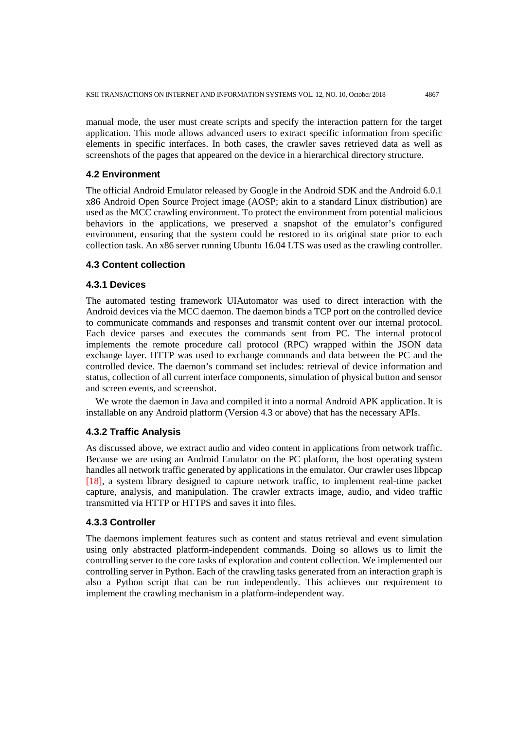manual mode, the user must create scripts and specify the interaction pattern for the target application. This mode allows advanced users to extract specific information from specific elements in specific interfaces. In both cases, the crawler saves retrieved data as well as screenshots of the pages that appeared on the device in a hierarchical directory structure.

#### **4.2 Environment**

The official Android Emulator released by Google in the Android SDK and the Android 6.0.1 x86 Android Open Source Project image (AOSP; akin to a standard Linux distribution) are used as the MCC crawling environment. To protect the environment from potential malicious behaviors in the applications, we preserved a snapshot of the emulator's configured environment, ensuring that the system could be restored to its original state prior to each collection task. An x86 server running Ubuntu 16.04 LTS was used as the crawling controller.

#### **4.3 Content collection**

#### **4.3.1 Devices**

The automated testing framework UIAutomator was used to direct interaction with the Android devices via the MCC daemon. The daemon binds a TCP port on the controlled device to communicate commands and responses and transmit content over our internal protocol. Each device parses and executes the commands sent from PC. The internal protocol implements the remote procedure call protocol (RPC) wrapped within the JSON data exchange layer. HTTP was used to exchange commands and data between the PC and the controlled device. The daemon's command set includes: retrieval of device information and status, collection of all current interface components, simulation of physical button and sensor and screen events, and screenshot.

We wrote the daemon in Java and compiled it into a normal Android APK application. It is installable on any Android platform (Version 4.3 or above) that has the necessary APIs.

## **4.3.2 Traffic Analysis**

As discussed above, we extract audio and video content in applications from network traffic. Because we are using an Android Emulator on the PC platform, the host operating system handles all network traffic generated by applications in the emulator. Our crawler uses libpcap [18], a system library designed to capture network traffic, to implement real-time packet capture, analysis, and manipulation. The crawler extracts image, audio, and video traffic transmitted via HTTP or HTTPS and saves it into files.

#### **4.3.3 Controller**

The daemons implement features such as content and status retrieval and event simulation using only abstracted platform-independent commands. Doing so allows us to limit the controlling server to the core tasks of exploration and content collection. We implemented our controlling server in Python. Each of the crawling tasks generated from an interaction graph is also a Python script that can be run independently. This achieves our requirement to implement the crawling mechanism in a platform-independent way.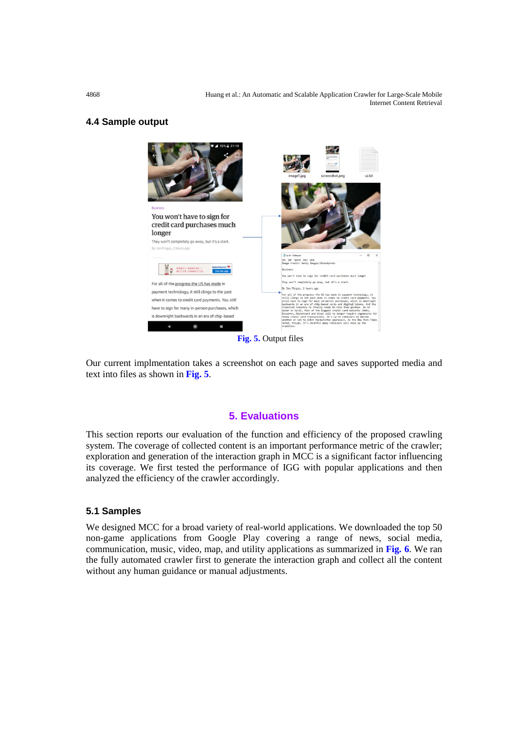4868 Huang et al.: An Automatic and Scalable Application Crawler for Large-Scale Mobile Internet Content Retrieval

## **4.4 Sample output**



**Fig. 5.** Output files

Our current implmentation takes a screenshot on each page and saves supported media and text into files as shown in **Fig. 5**.

## **5. Evaluations**

This section reports our evaluation of the function and efficiency of the proposed crawling system. The coverage of collected content is an important performance metric of the crawler; exploration and generation of the interaction graph in MCC is a significant factor influencing its coverage. We first tested the performance of IGG with popular applications and then analyzed the efficiency of the crawler accordingly.

## **5.1 Samples**

We designed MCC for a broad variety of real-world applications. We downloaded the top 50 non-game applications from Google Play covering a range of news, social media, communication, music, video, map, and utility applications as summarized in **Fig. 6**. We ran the fully automated crawler first to generate the interaction graph and collect all the content without any human guidance or manual adjustments.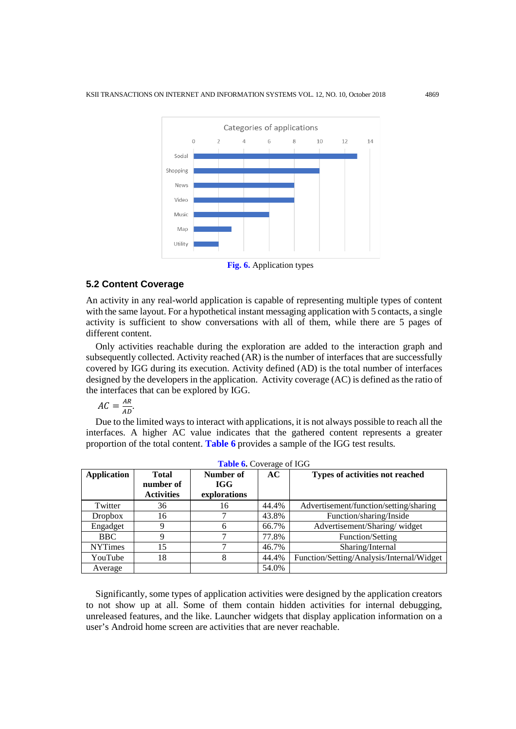

**Fig. 6.** Application types

#### **5.2 Content Coverage**

An activity in any real-world application is capable of representing multiple types of content with the same layout. For a hypothetical instant messaging application with 5 contacts, a single activity is sufficient to show conversations with all of them, while there are 5 pages of different content.

Only activities reachable during the exploration are added to the interaction graph and subsequently collected. Activity reached (AR) is the number of interfaces that are successfully covered by IGG during its execution. Activity defined (AD) is the total number of interfaces designed by the developers in the application. Activity coverage (AC) is defined as the ratio of the interfaces that can be explored by IGG.

 $AC = \frac{AR}{AD}$ .

Due to the limited ways to interact with applications, it is not always possible to reach all the interfaces. A higher AC value indicates that the gathered content represents a greater proportion of the total content. **Table 6** provides a sample of the IGG test results.

| <b>Table 0.</b> Coverage of <b>IGO</b> |                   |              |       |                                           |  |
|----------------------------------------|-------------------|--------------|-------|-------------------------------------------|--|
| <b>Application</b>                     | <b>Total</b>      | Number of    | AC.   | Types of activities not reached           |  |
|                                        | number of         | <b>IGG</b>   |       |                                           |  |
|                                        | <b>Activities</b> | explorations |       |                                           |  |
| Twitter                                | 36                | 16           | 44.4% | Advertisement/function/setting/sharing    |  |
| <b>Dropbox</b>                         | 16                |              | 43.8% | Function/sharing/Inside                   |  |
| Engadget                               | 9                 |              | 66.7% | Advertisement/Sharing/widget              |  |
| <b>BBC</b>                             | 9                 |              | 77.8% | Function/Setting                          |  |
| <b>NYTimes</b>                         | 15                |              | 46.7% | Sharing/Internal                          |  |
| YouTube                                | 18                | 8            | 44.4% | Function/Setting/Analysis/Internal/Widget |  |
| Average                                |                   |              | 54.0% |                                           |  |

Significantly, some types of application activities were designed by the application creators to not show up at all. Some of them contain hidden activities for internal debugging, unreleased features, and the like. Launcher widgets that display application information on a user's Android home screen are activities that are never reachable.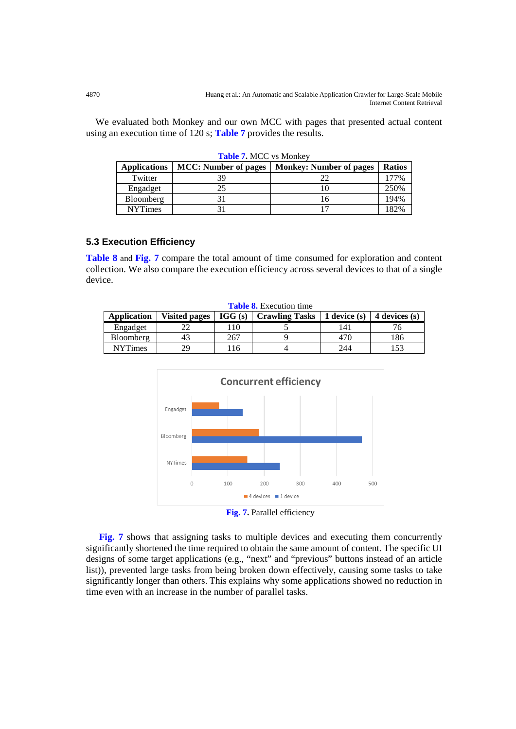We evaluated both Monkey and our own MCC with pages that presented actual content using an execution time of 120 s; **Table 7** provides the results.

| <b>Applications</b> | <b>MCC:</b> Number of pages | <b>Monkey: Number of pages</b> | <b>Ratios</b> |
|---------------------|-----------------------------|--------------------------------|---------------|
| Twitter             | 39                          |                                | 77%           |
| Engadget            |                             |                                | 250%          |
| Bloomberg           |                             |                                | 194%          |
| <b>NYTimes</b>      |                             |                                | 182%          |

**Table 7.** MCC vs Monkey

# **5.3 Execution Efficiency**

**Table 8** and **Fig. 7** compare the total amount of time consumed for exploration and content collection. We also compare the execution efficiency across several devices to that of a single device.

| <b>Table 8.</b> Execution time |                      |        |                       |                |               |
|--------------------------------|----------------------|--------|-----------------------|----------------|---------------|
| Application                    | <b>Visited pages</b> | IGG(s) | <b>Crawling Tasks</b> | 1 device $(s)$ | 4 devices (s) |
| Engadget                       |                      | 10     |                       | 41             |               |
| Bloomberg                      |                      | 267    |                       | 470            | 186           |
| <b>NYTimes</b>                 | 29                   | -16    |                       | 244            | 153           |



**Fig. 7.** Parallel efficiency

**Fig. 7** shows that assigning tasks to multiple devices and executing them concurrently significantly shortened the time required to obtain the same amount of content. The specific UI designs of some target applications (e.g., "next" and "previous" buttons instead of an article list)), prevented large tasks from being broken down effectively, causing some tasks to take significantly longer than others. This explains why some applications showed no reduction in time even with an increase in the number of parallel tasks.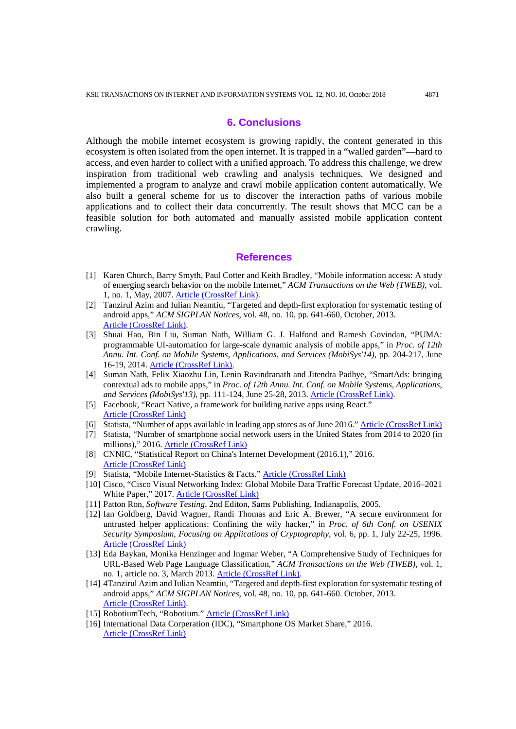## **6. Conclusions**

Although the mobile internet ecosystem is growing rapidly, the content generated in this ecosystem is often isolated from the open internet. It is trapped in a "walled garden"—hard to access, and even harder to collect with a unified approach. To address this challenge, we drew inspiration from traditional web crawling and analysis techniques. We designed and implemented a program to analyze and crawl mobile application content automatically. We also built a general scheme for us to discover the interaction paths of various mobile applications and to collect their data concurrently. The result shows that MCC can be a feasible solution for both automated and manually assisted mobile application content crawling.

#### **References**

- [1] Karen Church, Barry Smyth, Paul Cotter and Keith Bradley, "Mobile information access: A study of emerging search behavior on the mobile Internet," *ACM Transactions on the Web (TWEB)*, vol. 1, no. 1, May, 2007[. Article \(CrossRef Link\).](http://dx.doi.org/10.1145/1232722.1232726)
- [2] Tanzirul Azim and Iulian Neamtiu, "Targeted and depth-first exploration for systematic testing of android apps," *ACM SIGPLAN Notices*, vol. 48, no. 10, pp. 641-660, October, 2013. [Article \(CrossRef Link\).](http://dx.doi.org/10.1145/2544173.2509549)
- [3] Shuai Hao, Bin Liu, Suman Nath, William G. J. Halfond and Ramesh Govindan, "PUMA: programmable UI-automation for large-scale dynamic analysis of mobile apps," in *Proc. of 12th Annu. Int. Conf. on Mobile Systems, Applications, and Services (MobiSys'14)*, pp. 204-217, June 16-19, 2014[. Article \(CrossRef Link\).](http://dx.doi.org/10.1145/2594368.2594390)
- [4] Suman Nath, Felix Xiaozhu Lin, Lenin Ravindranath and Jitendra Padhye, "SmartAds: bringing contextual ads to mobile apps," in *Proc. of 12th Annu. Int. Conf. on Mobile Systems, Applications, and Services (MobiSys'13)*, pp. 111-124, June 25-28, 2013. [Article \(CrossRef Link\).](http://dx.doi.org/10.1145/2462456.2464452)
- [5] Facebook, "React Native, a framework for building native apps using React." [Article \(CrossRef Link\)](https://facebook.github.io/react-native/)
- [6] Statista, "Number of apps available in leading app stores as of June 2016.[" Article \(CrossRef Link\)](https://www.statista.com/statistics/276623/number-of-apps-available-in-leading-app-stores/)
- [7] Statista, "Number of smartphone social network users in the United States from 2014 to 2020 (in millions)," 2016. [Article \(CrossRef Link\)](https://www.statista.com/statistics/238636/number-of-mobile-social-network-users-in-the-us/)
- [8] CNNIC, "Statistical Report on China's Internet Development (2016.1)," 2016. [Article \(CrossRef Link\)](https://cnnic.com.cn/IDR/ReportDownloads/201604/P020160419390562421055.pdf)
- [9] Statista, "Mobile Internet-Statistics & Facts." [Article \(CrossRef Link\)](https://www.statista.com/topics/779/mobile-internet/)
- [10] Cisco, "Cisco Visual Networking Index: Global Mobile Data Traffic Forecast Update, 2016–2021 White Paper," 2017. [Article \(CrossRef Link\)](https://www.cisco.com/c/en/us/solutions/collateral/service-provider/visual-networking-index-vni/mobile-white-paper-c11-520862.html)
- [11] Patton Ron, *Software Testing*, 2nd Editon, Sams Publishing, Indianapolis, 2005.
- [12] Ian Goldberg, David Wagner, Randi Thomas and Eric A. Brewer, "A secure environment for untrusted helper applications: Confining the wily hacker," in *Proc. of 6th Conf. on USENIX Security Symposium, Focusing on Applications of Cryptography*, vol. 6, pp. 1, July 22-25, 1996. [Article \(CrossRef Link\)](https://dl.acm.org/citation.cfm?id=1267569&picked=prox)
- [13] Eda Baykan, Monika Henzinger and Ingmar Weber, "A Comprehensive Study of Techniques for URL-Based Web Page Language Classification," *ACM Transactions on the Web (TWEB)*, vol. 1, no. 1, article no. 3, March 2013. [Article \(CrossRef Link\).](http://dx.doi.org/10.1145/2435215.2435218)
- [14] 4Tanzirul Azim and Iulian Neamtiu, "Targeted and depth-first exploration for systematic testing of android apps," *ACM SIGPLAN Notices*, vol. 48, no. 10, pp. 641-660. October, 2013. [Article \(CrossRef Link\).](http://dx.doi.org/10.1145/2544173.2509549)
- [15] RobotiumTech, "Robotium." [Article \(CrossRef Link\)](https://github.com/RobotiumTech/robotium)
- [16] International Data Corperation (IDC), "Smartphone OS Market Share," 2016. [Article \(CrossRef Link\)](https://www.idc.com/promo/smartphone-market-share/os)